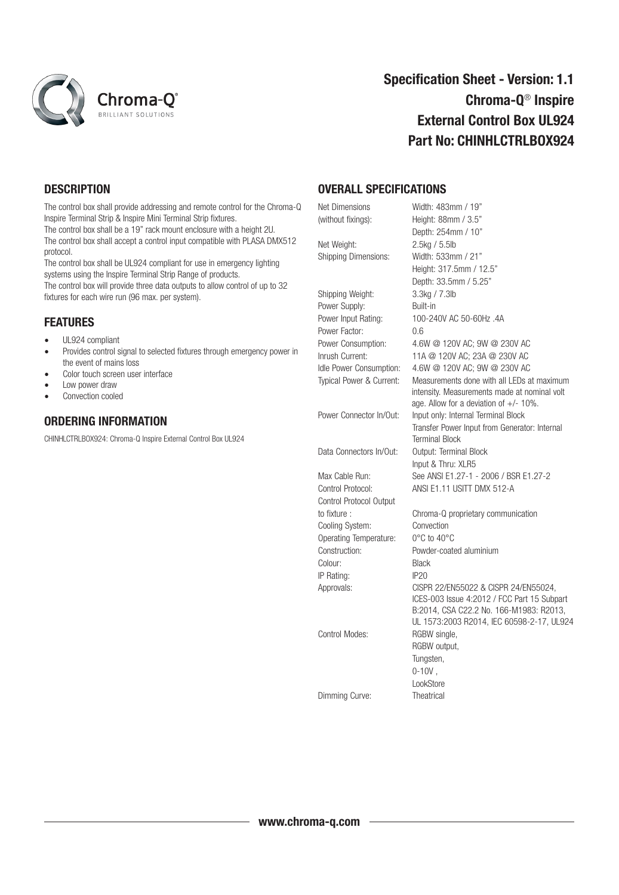

# Specification Sheet - Version: 1.1 Chroma-Q® Inspire External Control Box UL924 Part No: CHINHLCTRLBOX924

## **DESCRIPTION**

The control box shall provide addressing and remote control for the Chroma-Q Inspire Terminal Strip & Inspire Mini Terminal Strip fixtures. The control box shall be a 19" rack mount enclosure with a height 2U. The control box shall accept a control input compatible with PLASA DMX512 protocol.

The control box shall be UL924 compliant for use in emergency lighting systems using the Inspire Terminal Strip Range of products. The control box will provide three data outputs to allow control of up to 32 fixtures for each wire run (96 max. per system).

### **FEATURES**

- UL924 compliant
- Provides control signal to selected fixtures through emergency power in the event of mains loss
- Color touch screen user interface
- Low power draw
- Convection cooled

### ORDERING INFORMATION

CHINHLCTRLBOX924: Chroma-Q Inspire External Control Box UL924

### OVERALL SPECIFICATIONS

| Net Dimensions              | Width: 483mm / 19"                            |
|-----------------------------|-----------------------------------------------|
| (without fixings):          | Height: 88mm / 3.5"                           |
|                             | Depth: 254mm / 10"                            |
| Net Weight:                 | 2.5kg / 5.5lb                                 |
| <b>Shipping Dimensions:</b> | Width: 533mm / 21"                            |
|                             | Height: 317.5mm / 12.5"                       |
|                             | Depth: 33.5mm / 5.25"                         |
| Shipping Weight:            | 3.3kg / 7.3lb                                 |
| Power Supply:               | Built-in                                      |
| Power Input Rating:         | 100-240V AC 50-60Hz .4A                       |
| Power Factor:               | 0.6                                           |
| Power Consumption:          | 4.6W @ 120V AC; 9W @ 230V AC                  |
| Inrush Current:             | 11A @ 120V AC; 23A @ 230V AC                  |
| Idle Power Consumption:     | 4.6W @ 120V AC; 9W @ 230V AC                  |
| Typical Power & Current:    | Measurements done with all LEDs at maximum    |
|                             | intensity. Measurements made at nominal volt  |
|                             | age. Allow for a deviation of $+/- 10\%$ .    |
| Power Connector In/Out:     | Input only: Internal Terminal Block           |
|                             | Transfer Power Input from Generator: Internal |
|                             | <b>Terminal Block</b>                         |
| Data Connectors In/Out:     | Output: Terminal Block                        |
|                             | Input & Thru: XLR5                            |
| Max Cable Run:              | See ANSI E1.27-1 - 2006 / BSR E1.27-2         |
| Control Protocol:           | ANSI E1.11 USITT DMX 512-A                    |
| Control Protocol Output     |                                               |
| to fixture:                 | Chroma-Q proprietary communication            |
| Cooling System:             | Convection                                    |
| Operating Temperature:      | $0^{\circ}$ C to $40^{\circ}$ C               |
| Construction:               | Powder-coated aluminium                       |
| Colour:                     | <b>Black</b>                                  |
| IP Rating:                  | IP20                                          |
| Approvals:                  | CISPR 22/EN55022 & CISPR 24/EN55024,          |
|                             | ICES-003 Issue 4:2012 / FCC Part 15 Subpart   |
|                             | B:2014, CSA C22.2 No. 166-M1983: R2013,       |
| Control Modes:              | UL 1573:2003 R2014, IEC 60598-2-17, UL924     |
|                             | RGBW single,<br>RGBW output,                  |
|                             |                                               |
|                             | Tungsten,                                     |
|                             | $0-10V$ ,<br>LookStore                        |
|                             |                                               |
| Dimming Curve:              | <b>Theatrical</b>                             |